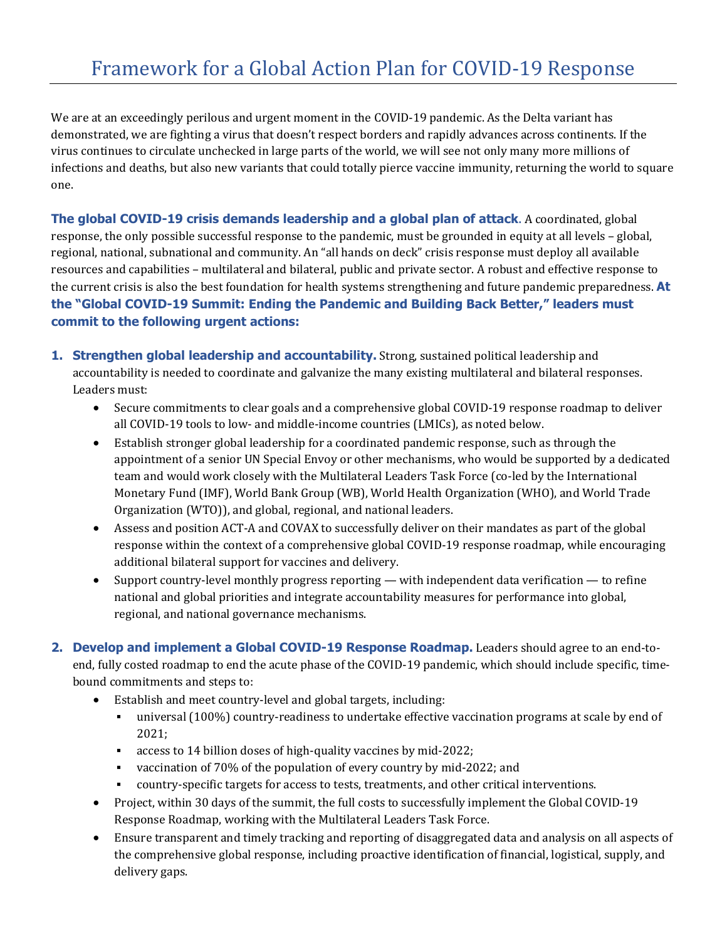We are at an exceedingly perilous and urgent moment in the COVID-19 pandemic. As the Delta variant has demonstrated, we are fighting a virus that doesn't respect borders and rapidly advances across continents. If the virus continues to circulate unchecked in large parts of the world, we will see not only many more millions of infections and deaths, but also new variants that could totally pierce vaccine immunity, returning the world to square one.

**The global COVID-19 crisis demands leadership and a global plan of attack**. A coordinated, global response, the only possible successful response to the pandemic, must be grounded in equity at all levels – global, regional, national, subnational and community. An "all hands on deck" crisis response must deploy all available resources and capabilities – multilateral and bilateral, public and private sector. A robust and effective response to the current crisis is also the best foundation for health systems strengthening and future pandemic preparedness. **At the "Global COVID-19 Summit: Ending the Pandemic and Building Back Better," leaders must commit to the following urgent actions:** 

- **1. Strengthen global leadership and accountability.** Strong, sustained political leadership and accountability is needed to coordinate and galvanize the many existing multilateral and bilateral responses. Leaders must:
	- Secure commitments to clear goals and a comprehensive global COVID-19 response roadmap to deliver all COVID-19 tools to low- and middle-income countries (LMICs), as noted below.
	- Establish stronger global leadership for a coordinated pandemic response, such as through the appointment of a senior UN Special Envoy or other mechanisms, who would be supported by a dedicated team and would work closely with the Multilateral Leader[s Task Force](https://www.covid19taskforce.com/en/programs/task-force-on-covid-19-vaccines) (co-led by the International Monetary Fund (IMF), World Bank Group (WB), World Health Organization (WHO), and World Trade Organization (WTO)), and global, regional, and national leaders.
	- Assess and position ACT-A and COVAX to successfully deliver on their mandates as part of the global response within the context of a comprehensive global COVID-19 response roadmap, while encouraging additional bilateral support for vaccines and delivery.
	- Support country-level monthly progress reporting with independent data verification to refine national and global priorities and integrate accountability measures for performance into global, regional, and national governance mechanisms.

**2. Develop and implement a Global COVID-19 Response Roadmap.** Leaders should agree to an end-toend, fully costed roadmap to end the acute phase of the COVID-19 pandemic, which should include specific, timebound commitments and steps to:

- Establish and meet country-level and global targets, including:
	- universal (100%) country-readiness to undertake effective vaccination programs at scale by end of 2021;
	- access to 14 billion doses of high-quality vaccines by mid-2022;
	- vaccination of 70% of the population of every country by mid-2022; and
	- country-specific targets for access to tests, treatments, and other critical interventions.
- Project, within 30 days of the summit, the full costs to successfully implement the Global COVID-19 Response Roadmap, working with the Multilateral Leaders Task Force.
- Ensure transparent and timely tracking and reporting of disaggregated data and analysis on all aspects of the comprehensive global response, including proactive identification of financial, logistical, supply, and delivery gaps.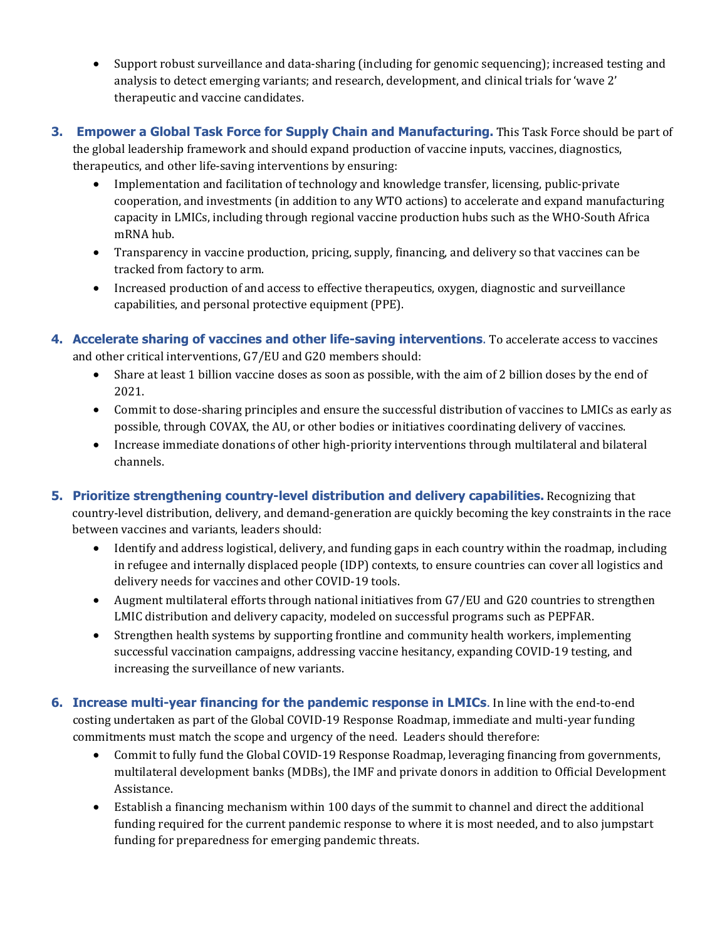- Support robust surveillance and data-sharing (including for genomic sequencing); increased testing and analysis to detect emerging variants; and research, development, and clinical trials for 'wave 2' therapeutic and vaccine candidates.
- **3. Empower a Global Task Force for Supply Chain and Manufacturing.** This Task Force should be part of the global leadership framework and should expand production of vaccine inputs, vaccines, diagnostics, therapeutics, and other life-saving interventions by ensuring:
	- Implementation and facilitation of technology and knowledge transfer, licensing, public-private cooperation, and investments (in addition to any WTO actions) to accelerate and expand manufacturing capacity in LMICs, including through regional vaccine production hubs such as the WHO-South Africa mRNA hub.
	- Transparency in vaccine production, pricing, supply, financing, and delivery so that vaccines can be tracked from factory to arm.
	- Increased production of and access to effective therapeutics, oxygen, diagnostic and surveillance capabilities, and personal protective equipment (PPE).
- **4. Accelerate sharing of vaccines and other life-saving interventions**. To accelerate access to vaccines and other critical interventions, G7/EU and G20 members should:
	- Share at least 1 billion vaccine doses as soon as possible, with the aim of 2 billion doses by the end of 2021.
	- Commit to dose-sharing principles and ensure the successful distribution of vaccines to LMICs as early as possible, through COVAX, the AU, or other bodies or initiatives coordinating delivery of vaccines.
	- Increase immediate donations of other high-priority interventions through multilateral and bilateral channels.
- **5. Prioritize strengthening country-level distribution and delivery capabilities.** Recognizing that country-level distribution, delivery, and demand-generation are quickly becoming the key constraints in the race between vaccines and variants, leaders should:
	- Identify and address logistical, delivery, and funding gaps in each country within the roadmap, including in refugee and internally displaced people (IDP) contexts, to ensure countries can cover all logistics and delivery needs for vaccines and other COVID-19 tools.
	- Augment multilateral efforts through national initiatives from G7/EU and G20 countries to strengthen LMIC distribution and delivery capacity, modeled on successful programs such as PEPFAR.
	- Strengthen health systems by supporting frontline and community health workers, implementing successful vaccination campaigns, addressing vaccine hesitancy, expanding COVID-19 testing, and increasing the surveillance of new variants.
- **6. Increase multi-year financing for the pandemic response in LMICs**. In line with the end-to-end costing undertaken as part of the Global COVID-19 Response Roadmap, immediate and multi-year funding commitments must match the scope and urgency of the need. Leaders should therefore:
	- Commit to fully fund the Global COVID-19 Response Roadmap, leveraging financing from governments, multilateral development banks (MDBs), the IMF and private donors in addition to Official Development Assistance.
	- Establish a financing mechanism within 100 days of the summit to channel and direct the additional funding required for the current pandemic response to where it is most needed, and to also jumpstart funding for preparedness for emerging pandemic threats.